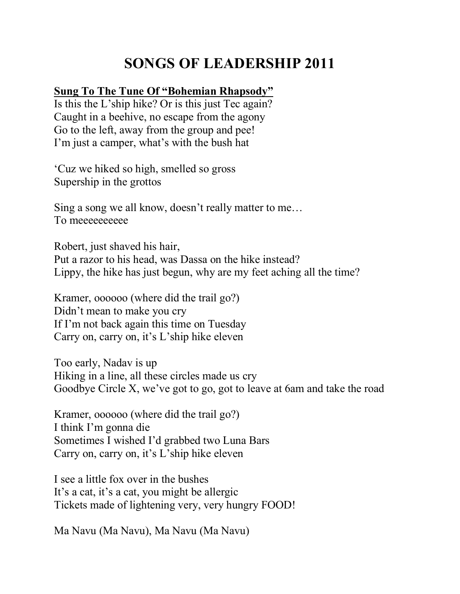## **SONGS OF LEADERSHIP 2011**

## **Sung To The Tune Of "Bohemian Rhapsody"**

Is this the L'ship hike? Or is this just Tec again? Caught in a beehive, no escape from the agony Go to the left, away from the group and pee! I'm just a camper, what's with the bush hat

'Cuz we hiked so high, smelled so gross Supership in the grottos

Sing a song we all know, doesn't really matter to me… To meeeeeeeeee

Robert, just shaved his hair, Put a razor to his head, was Dassa on the hike instead? Lippy, the hike has just begun, why are my feet aching all the time?

Kramer, oooooo (where did the trail go?) Didn't mean to make you cry If I'm not back again this time on Tuesday Carry on, carry on, it's L'ship hike eleven

Too early, Nadav is up Hiking in a line, all these circles made us cry Goodbye Circle X, we've got to go, got to leave at 6am and take the road

Kramer, oooooo (where did the trail go?) I think I'm gonna die Sometimes I wished I'd grabbed two Luna Bars Carry on, carry on, it's L'ship hike eleven

I see a little fox over in the bushes It's a cat, it's a cat, you might be allergic Tickets made of lightening very, very hungry FOOD!

Ma Navu (Ma Navu), Ma Navu (Ma Navu)